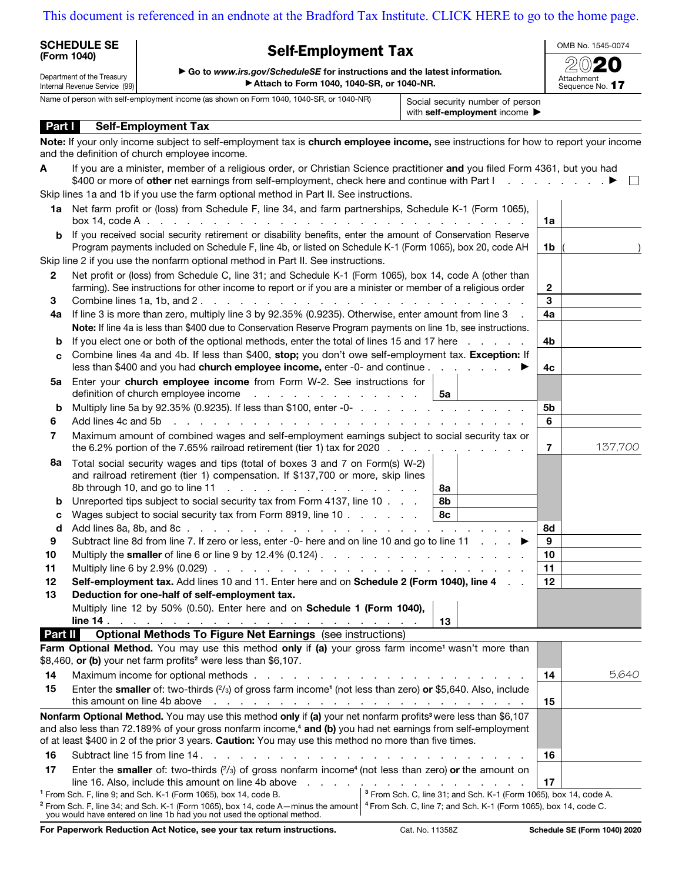## [This document is referenced in an endnote at the Bradford Tax Institute. CLICK HERE to go to the home page.](https://www.bradfordtaxinstitute.com)

| <b>SCHEDULE SE</b><br><b>Self-Employment Tax</b><br>(Form 1040)<br>Go to www.irs.gov/ScheduleSE for instructions and the latest information.<br>Department of the Treasury<br>Attach to Form 1040, 1040-SR, or 1040-NR. |                                                                                                                                                                                                                                                                                                    | OMB No. 1545-0074                                                            |                 |
|-------------------------------------------------------------------------------------------------------------------------------------------------------------------------------------------------------------------------|----------------------------------------------------------------------------------------------------------------------------------------------------------------------------------------------------------------------------------------------------------------------------------------------------|------------------------------------------------------------------------------|-----------------|
|                                                                                                                                                                                                                         |                                                                                                                                                                                                                                                                                                    |                                                                              | Attachment      |
| Internal Revenue Service (99)                                                                                                                                                                                           | Name of person with self-employment income (as shown on Form 1040, 1040-SR, or 1040-NR)                                                                                                                                                                                                            | Social security number of person                                             | Sequence No. 17 |
|                                                                                                                                                                                                                         |                                                                                                                                                                                                                                                                                                    | with self-employment income $\blacktriangleright$                            |                 |
| Part I                                                                                                                                                                                                                  | <b>Self-Employment Tax</b>                                                                                                                                                                                                                                                                         |                                                                              |                 |
| and the definition of church employee income.                                                                                                                                                                           | Note: If your only income subject to self-employment tax is church employee income, see instructions for how to report your income                                                                                                                                                                 |                                                                              |                 |
| A                                                                                                                                                                                                                       | If you are a minister, member of a religious order, or Christian Science practitioner and you filed Form 4361, but you had                                                                                                                                                                         |                                                                              |                 |
|                                                                                                                                                                                                                         | Skip lines 1a and 1b if you use the farm optional method in Part II. See instructions.                                                                                                                                                                                                             |                                                                              | $\perp$         |
|                                                                                                                                                                                                                         | 1a Net farm profit or (loss) from Schedule F, line 34, and farm partnerships, Schedule K-1 (Form 1065),                                                                                                                                                                                            |                                                                              |                 |
|                                                                                                                                                                                                                         |                                                                                                                                                                                                                                                                                                    |                                                                              | 1a              |
| b                                                                                                                                                                                                                       | If you received social security retirement or disability benefits, enter the amount of Conservation Reserve<br>Program payments included on Schedule F, line 4b, or listed on Schedule K-1 (Form 1065), box 20, code AH                                                                            |                                                                              | 1b              |
|                                                                                                                                                                                                                         | Skip line 2 if you use the nonfarm optional method in Part II. See instructions.                                                                                                                                                                                                                   |                                                                              |                 |
| $\mathbf{2}$                                                                                                                                                                                                            | Net profit or (loss) from Schedule C, line 31; and Schedule K-1 (Form 1065), box 14, code A (other than                                                                                                                                                                                            |                                                                              |                 |
|                                                                                                                                                                                                                         | farming). See instructions for other income to report or if you are a minister or member of a religious order                                                                                                                                                                                      |                                                                              | $\overline{2}$  |
| 3                                                                                                                                                                                                                       |                                                                                                                                                                                                                                                                                                    |                                                                              | 3               |
| 4a                                                                                                                                                                                                                      | If line 3 is more than zero, multiply line 3 by 92.35% (0.9235). Otherwise, enter amount from line 3                                                                                                                                                                                               |                                                                              | 4a              |
|                                                                                                                                                                                                                         | Note: If line 4a is less than \$400 due to Conservation Reserve Program payments on line 1b, see instructions.                                                                                                                                                                                     |                                                                              |                 |
| b                                                                                                                                                                                                                       | If you elect one or both of the optional methods, enter the total of lines 15 and 17 here                                                                                                                                                                                                          |                                                                              | 4b              |
| C                                                                                                                                                                                                                       | Combine lines 4a and 4b. If less than \$400, stop; you don't owe self-employment tax. Exception: If                                                                                                                                                                                                |                                                                              | 4c              |
| 5a                                                                                                                                                                                                                      | Enter your church employee income from Form W-2. See instructions for                                                                                                                                                                                                                              |                                                                              |                 |
|                                                                                                                                                                                                                         | definition of church employee income                                                                                                                                                                                                                                                               | 5а                                                                           |                 |
| b                                                                                                                                                                                                                       |                                                                                                                                                                                                                                                                                                    |                                                                              | 5b              |
| Add lines 4c and 5b<br>6                                                                                                                                                                                                | the contract of the contract of the contract of the contract of the contract of the contract of the contract of                                                                                                                                                                                    |                                                                              | 6               |
| 7                                                                                                                                                                                                                       | Maximum amount of combined wages and self-employment earnings subject to social security tax or<br>the 6.2% portion of the 7.65% railroad retirement (tier 1) tax for 2020                                                                                                                         |                                                                              | 137,700<br>7    |
| 8а                                                                                                                                                                                                                      | Total social security wages and tips (total of boxes 3 and 7 on Form(s) W-2)<br>and railroad retirement (tier 1) compensation. If \$137,700 or more, skip lines                                                                                                                                    | 8а                                                                           |                 |
|                                                                                                                                                                                                                         | Unreported tips subject to social security tax from Form 4137, line 10                                                                                                                                                                                                                             | 8b                                                                           |                 |
|                                                                                                                                                                                                                         | Wages subject to social security tax from Form 8919, line 10                                                                                                                                                                                                                                       | 8c                                                                           |                 |
| d                                                                                                                                                                                                                       |                                                                                                                                                                                                                                                                                                    |                                                                              | 8d              |
| 9                                                                                                                                                                                                                       | Subtract line 8d from line 7. If zero or less, enter -0- here and on line 10 and go to line 11                                                                                                                                                                                                     |                                                                              | 9               |
| 10                                                                                                                                                                                                                      |                                                                                                                                                                                                                                                                                                    |                                                                              | 10              |
| 11                                                                                                                                                                                                                      | Multiply line 6 by 2.9% (0.029) $\ldots$ $\ldots$ $\ldots$ $\ldots$ $\ldots$ $\ldots$ $\ldots$ $\ldots$ $\ldots$ $\ldots$                                                                                                                                                                          |                                                                              | 11              |
| 12                                                                                                                                                                                                                      | Self-employment tax. Add lines 10 and 11. Enter here and on Schedule 2 (Form 1040), line 4                                                                                                                                                                                                         |                                                                              | 12              |
| 13                                                                                                                                                                                                                      | Deduction for one-half of self-employment tax.                                                                                                                                                                                                                                                     |                                                                              |                 |
| line $14$ .                                                                                                                                                                                                             | Multiply line 12 by 50% (0.50). Enter here and on Schedule 1 (Form 1040),                                                                                                                                                                                                                          |                                                                              |                 |
| Part II                                                                                                                                                                                                                 | and a construction of the construction of the construction of the construction of the construction of the construction of the construction of the construction of the construction of the construction of the construction of<br><b>Optional Methods To Figure Net Earnings</b> (see instructions) | 13                                                                           |                 |
|                                                                                                                                                                                                                         | Farm Optional Method. You may use this method only if (a) your gross farm income <sup>1</sup> wasn't more than                                                                                                                                                                                     |                                                                              |                 |
|                                                                                                                                                                                                                         | \$8,460, or (b) your net farm profits <sup>2</sup> were less than \$6,107.                                                                                                                                                                                                                         |                                                                              |                 |
| 14                                                                                                                                                                                                                      |                                                                                                                                                                                                                                                                                                    |                                                                              | 5,640<br>14     |
| 15                                                                                                                                                                                                                      | Enter the smaller of: two-thirds (2/3) of gross farm income <sup>1</sup> (not less than zero) or \$5,640. Also, include                                                                                                                                                                            |                                                                              |                 |
|                                                                                                                                                                                                                         | Nonfarm Optional Method. You may use this method only if (a) your net nonfarm profits <sup>3</sup> were less than \$6,107                                                                                                                                                                          |                                                                              | 15              |
|                                                                                                                                                                                                                         | and also less than 72.189% of your gross nonfarm income, <sup>4</sup> and (b) you had net earnings from self-employment                                                                                                                                                                            |                                                                              |                 |
|                                                                                                                                                                                                                         | of at least \$400 in 2 of the prior 3 years. Caution: You may use this method no more than five times.                                                                                                                                                                                             |                                                                              |                 |
| 16                                                                                                                                                                                                                      | Subtract line 15 from line 14,                                                                                                                                                                                                                                                                     |                                                                              | 16              |
|                                                                                                                                                                                                                         |                                                                                                                                                                                                                                                                                                    |                                                                              |                 |
| 17                                                                                                                                                                                                                      | Enter the smaller of: two-thirds $(^{2}/_{3})$ of gross nonfarm income <sup>4</sup> (not less than zero) or the amount on                                                                                                                                                                          |                                                                              |                 |
|                                                                                                                                                                                                                         | <sup>1</sup> From Sch. F, line 9; and Sch. K-1 (Form 1065), box 14, code B.                                                                                                                                                                                                                        | <sup>3</sup> From Sch. C, line 31; and Sch. K-1 (Form 1065), box 14, code A. | 17              |